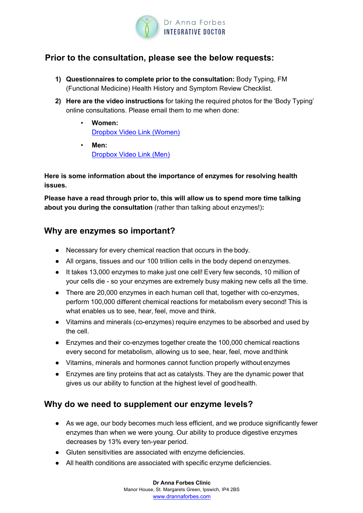

### **Prior to the consultation, please see the below requests:**

- **1) Questionnaires to complete prior to the consultation:** Body Typing, FM (Functional Medicine) Health History and Symptom Review Checklist.
- **2) Here are the video instructions** for taking the required photos for the 'Body Typing' online consultations. Please email them to me when done:
	- **Women:**  Dropbox Video Link (Women)
	- **Men:** Dropbox Video Link (Men)

**Here is some information about the importance of enzymes for resolving health issues.**

**Please have a read through prior to, this will allow us to spend more time talking about you during the consultation** (rather than talking about enzymes!)**:**

#### **Why are enzymes so important?**

- Necessary for every chemical reaction that occurs in the body.
- All organs, tissues and our 100 trillion cells in the body depend onenzymes.
- It takes 13,000 enzymes to make just one cell! Every few seconds, 10 million of your cells die - so your enzymes are extremely busy making new cells all the time.
- There are 20,000 enzymes in each human cell that, together with co-enzymes, perform 100,000 different chemical reactions for metabolism every second! This is what enables us to see, hear, feel, move and think.
- Vitamins and minerals (co-enzymes) require enzymes to be absorbed and used by the cell.
- Enzymes and their co-enzymes together create the 100,000 chemical reactions every second for metabolism, allowing us to see, hear, feel, move andthink
- Vitamins, minerals and hormones cannot function properly without enzymes
- Enzymes are tiny proteins that act as catalysts. They are the dynamic power that gives us our ability to function at the highest level of good health.

# **Why do we need to supplement our enzyme levels?**

- As we age, our body becomes much less efficient, and we produce significantly fewer enzymes than when we were young. Our ability to produce digestive enzymes decreases by 13% every ten-year period.
- Gluten sensitivities are associated with enzyme deficiencies.
- All health conditions are associated with specific enzyme deficiencies.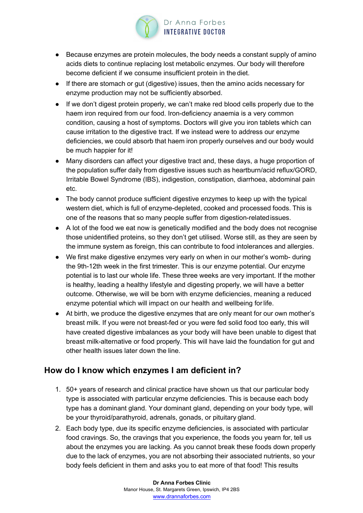

- Because enzymes are protein molecules, the body needs a constant supply of amino acids diets to continue replacing lost metabolic enzymes. Our body will therefore become deficient if we consume insufficient protein in the diet.
- If there are stomach or gut (digestive) issues, then the amino acids necessary for enzyme production may not be sufficiently absorbed.
- If we don't digest protein properly, we can't make red blood cells properly due to the haem iron required from our food. Iron-deficiency anaemia is a very common condition, causing a host of symptoms. Doctors will give you iron tablets which can cause irritation to the digestive tract. If we instead were to address our enzyme deficiencies, we could absorb that haem iron properly ourselves and our body would be much happier for it!
- Many disorders can affect your digestive tract and, these days, a huge proportion of the population suffer daily from digestive issues such as heartburn/acid reflux/GORD, Irritable Bowel Syndrome (IBS), indigestion, constipation, diarrhoea, abdominal pain etc.
- The body cannot produce sufficient digestive enzymes to keep up with the typical western diet, which is full of enzyme-depleted, cooked and processed foods. This is one of the reasons that so many people suffer from digestion-relatedissues.
- A lot of the food we eat now is genetically modified and the body does not recognise those unidentified proteins, so they don't get utilised. Worse still, as they are seen by the immune system as foreign, this can contribute to food intolerances and allergies.
- We first make digestive enzymes very early on when in our mother's womb- during the 9th-12th week in the first trimester. This is our enzyme potential. Our enzyme potential is to last our whole life. These three weeks are very important. If the mother is healthy, leading a healthy lifestyle and digesting properly, we will have a better outcome. Otherwise, we will be born with enzyme deficiencies, meaning a reduced enzyme potential which will impact on our health and wellbeing forlife.
- At birth, we produce the digestive enzymes that are only meant for our own mother's breast milk. If you were not breast-fed or you were fed solid food too early, this will have created digestive imbalances as your body will have been unable to digest that breast milk-alternative or food properly. This will have laid the foundation for gut and other health issues later down the line.

# **How do I know which enzymes I am deficient in?**

- 1. 50+ years of research and clinical practice have shown us that our particular body type is associated with particular enzyme deficiencies. This is because each body type has a dominant gland. Your dominant gland, depending on your body type, will be your thyroid/parathyroid, adrenals, gonads, or pituitary gland.
- 2. Each body type, due its specific enzyme deficiencies, is associated with particular food cravings. So, the cravings that you experience, the foods you yearn for, tell us about the enzymes you are lacking. As you cannot break these foods down properly due to the lack of enzymes, you are not absorbing their associated nutrients, so your body feels deficient in them and asks you to eat more of that food! This results